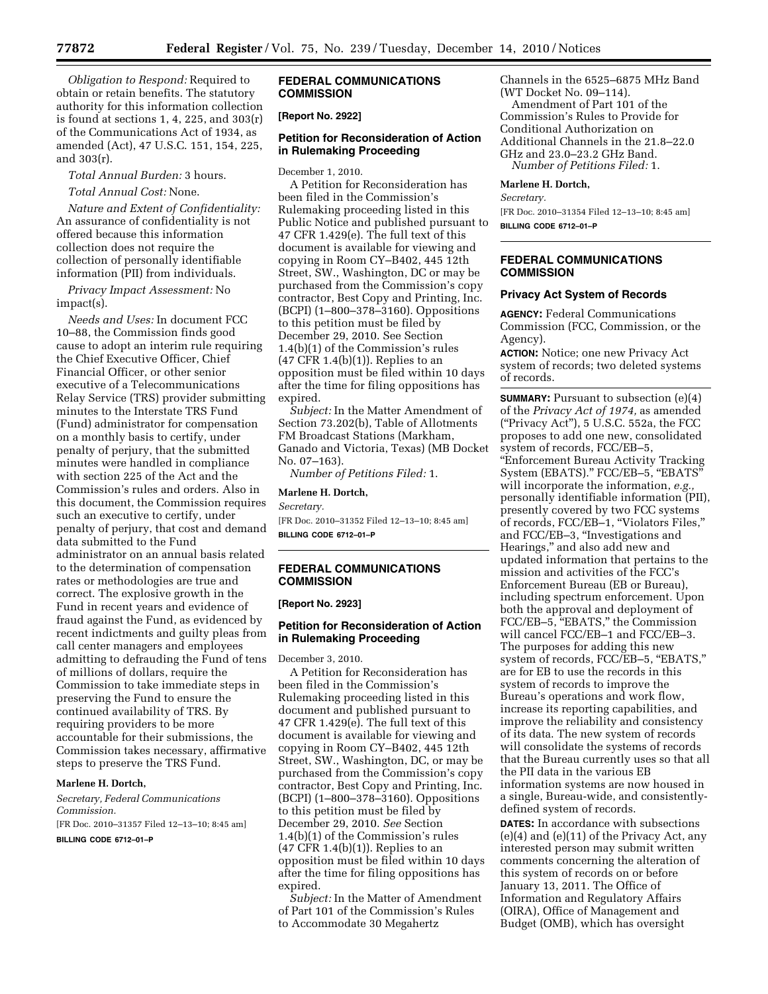*Obligation to Respond:* Required to obtain or retain benefits. The statutory authority for this information collection is found at sections 1, 4, 225, and 303(r) of the Communications Act of 1934, as amended (Act), 47 U.S.C. 151, 154, 225, and 303(r).

*Total Annual Burden:* 3 hours.

*Total Annual Cost:* None.

*Nature and Extent of Confidentiality:*  An assurance of confidentiality is not offered because this information collection does not require the collection of personally identifiable information (PII) from individuals.

*Privacy Impact Assessment:* No impact(s).

*Needs and Uses:* In document FCC 10–88, the Commission finds good cause to adopt an interim rule requiring the Chief Executive Officer, Chief Financial Officer, or other senior executive of a Telecommunications Relay Service (TRS) provider submitting minutes to the Interstate TRS Fund (Fund) administrator for compensation on a monthly basis to certify, under penalty of perjury, that the submitted minutes were handled in compliance with section 225 of the Act and the Commission's rules and orders. Also in this document, the Commission requires such an executive to certify, under penalty of perjury, that cost and demand data submitted to the Fund administrator on an annual basis related to the determination of compensation rates or methodologies are true and correct. The explosive growth in the Fund in recent years and evidence of fraud against the Fund, as evidenced by recent indictments and guilty pleas from call center managers and employees admitting to defrauding the Fund of tens of millions of dollars, require the Commission to take immediate steps in preserving the Fund to ensure the continued availability of TRS. By requiring providers to be more accountable for their submissions, the Commission takes necessary, affirmative steps to preserve the TRS Fund.

### **Marlene H. Dortch,**

*Secretary, Federal Communications Commission.*  [FR Doc. 2010–31357 Filed 12–13–10; 8:45 am]

**BILLING CODE 6712–01–P** 

# **FEDERAL COMMUNICATIONS COMMISSION**

## **[Report No. 2922]**

# **Petition for Reconsideration of Action in Rulemaking Proceeding**

December 1, 2010.

A Petition for Reconsideration has been filed in the Commission's Rulemaking proceeding listed in this Public Notice and published pursuant to 47 CFR 1.429(e). The full text of this document is available for viewing and copying in Room CY–B402, 445 12th Street, SW., Washington, DC or may be purchased from the Commission's copy contractor, Best Copy and Printing, Inc. (BCPI) (1–800–378–3160). Oppositions to this petition must be filed by December 29, 2010. See Section 1.4(b)(1) of the Commission's rules  $(47 \text{ CFR } 1.4 \text{ (b)}(1))$ . Replies to an opposition must be filed within 10 days after the time for filing oppositions has expired.

*Subject:* In the Matter Amendment of Section 73.202(b), Table of Allotments FM Broadcast Stations (Markham, Ganado and Victoria, Texas) (MB Docket No. 07–163).

*Number of Petitions Filed:* 1.

#### **Marlene H. Dortch,**

*Secretary.* 

[FR Doc. 2010–31352 Filed 12–13–10; 8:45 am] **BILLING CODE 6712–01–P** 

## **FEDERAL COMMUNICATIONS COMMISSION**

## **[Report No. 2923]**

# **Petition for Reconsideration of Action in Rulemaking Proceeding**

December 3, 2010.

A Petition for Reconsideration has been filed in the Commission's Rulemaking proceeding listed in this document and published pursuant to 47 CFR 1.429(e). The full text of this document is available for viewing and copying in Room CY–B402, 445 12th Street, SW., Washington, DC, or may be purchased from the Commission's copy contractor, Best Copy and Printing, Inc. (BCPI) (1–800–378–3160). Oppositions to this petition must be filed by December 29, 2010. *See* Section 1.4(b)(1) of the Commission's rules (47 CFR 1.4(b)(1)). Replies to an opposition must be filed within 10 days after the time for filing oppositions has expired.

*Subject:* In the Matter of Amendment of Part 101 of the Commission's Rules to Accommodate 30 Megahertz

Channels in the 6525–6875 MHz Band (WT Docket No. 09–114). Amendment of Part 101 of the Commission's Rules to Provide for Conditional Authorization on Additional Channels in the 21.8–22.0 GHz and 23.0–23.2 GHz Band. *Number of Petitions Filed:* 1.

**Marlene H. Dortch,** 

*Secretary.*  [FR Doc. 2010–31354 Filed 12–13–10; 8:45 am] **BILLING CODE 6712–01–P** 

## **FEDERAL COMMUNICATIONS COMMISSION**

# **Privacy Act System of Records**

**AGENCY:** Federal Communications Commission (FCC, Commission, or the Agency).

**ACTION:** Notice; one new Privacy Act system of records; two deleted systems of records.

**SUMMARY:** Pursuant to subsection (e)(4) of the *Privacy Act of 1974,* as amended (''Privacy Act''), 5 U.S.C. 552a, the FCC proposes to add one new, consolidated system of records, FCC/EB–5, ''Enforcement Bureau Activity Tracking System (EBATS)." FCC/EB-5, "EBATS" will incorporate the information, *e.g.,*  personally identifiable information (PII), presently covered by two FCC systems of records, FCC/EB–1, ''Violators Files,'' and FCC/EB–3, ''Investigations and Hearings,'' and also add new and updated information that pertains to the mission and activities of the FCC's Enforcement Bureau (EB or Bureau), including spectrum enforcement. Upon both the approval and deployment of FCC/EB-5, "EBATS," the Commission will cancel FCC/EB–1 and FCC/EB–3. The purposes for adding this new system of records, FCC/EB-5, "EBATS," are for EB to use the records in this system of records to improve the Bureau's operations and work flow, increase its reporting capabilities, and improve the reliability and consistency of its data. The new system of records will consolidate the systems of records that the Bureau currently uses so that all the PII data in the various EB information systems are now housed in a single, Bureau-wide, and consistentlydefined system of records.

**DATES:** In accordance with subsections (e)(4) and (e)(11) of the Privacy Act, any interested person may submit written comments concerning the alteration of this system of records on or before January 13, 2011. The Office of Information and Regulatory Affairs (OIRA), Office of Management and Budget (OMB), which has oversight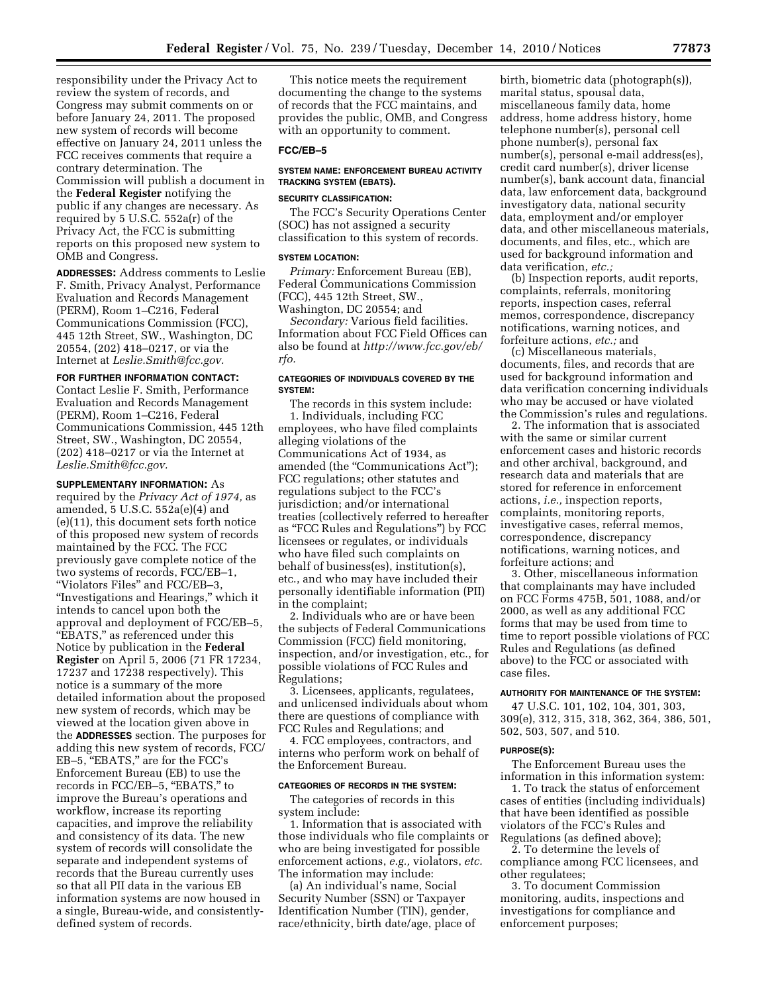responsibility under the Privacy Act to review the system of records, and Congress may submit comments on or before January 24, 2011. The proposed new system of records will become effective on January 24, 2011 unless the FCC receives comments that require a contrary determination. The Commission will publish a document in the **Federal Register** notifying the public if any changes are necessary. As required by 5 U.S.C. 552a(r) of the Privacy Act, the FCC is submitting reports on this proposed new system to OMB and Congress.

**ADDRESSES:** Address comments to Leslie F. Smith, Privacy Analyst, Performance Evaluation and Records Management (PERM), Room 1–C216, Federal Communications Commission (FCC), 445 12th Street, SW., Washington, DC 20554, (202) 418–0217, or via the Internet at *Leslie.Smith@fcc.gov.* 

# **FOR FURTHER INFORMATION CONTACT:**

Contact Leslie F. Smith, Performance Evaluation and Records Management (PERM), Room 1–C216, Federal Communications Commission, 445 12th Street, SW., Washington, DC 20554, (202) 418–0217 or via the Internet at *Leslie.Smith@fcc.gov.* 

**SUPPLEMENTARY INFORMATION:** As required by the *Privacy Act of 1974,* as amended, 5 U.S.C. 552a(e)(4) and (e)(11), this document sets forth notice of this proposed new system of records maintained by the FCC. The FCC previously gave complete notice of the two systems of records, FCC/EB–1, ''Violators Files'' and FCC/EB–3, ''Investigations and Hearings,'' which it intends to cancel upon both the approval and deployment of FCC/EB–5, "EBATS," as referenced under this Notice by publication in the **Federal Register** on April 5, 2006 (71 FR 17234, 17237 and 17238 respectively). This notice is a summary of the more detailed information about the proposed new system of records, which may be viewed at the location given above in the **ADDRESSES** section. The purposes for adding this new system of records, FCC/ EB-5, "EBATS," are for the FCC's Enforcement Bureau (EB) to use the records in FCC/EB-5, "EBATS," to improve the Bureau's operations and workflow, increase its reporting capacities, and improve the reliability and consistency of its data. The new system of records will consolidate the separate and independent systems of records that the Bureau currently uses so that all PII data in the various EB information systems are now housed in a single, Bureau-wide, and consistentlydefined system of records.

This notice meets the requirement documenting the change to the systems of records that the FCC maintains, and provides the public, OMB, and Congress with an opportunity to comment.

# **FCC/EB–5**

## **SYSTEM NAME: ENFORCEMENT BUREAU ACTIVITY TRACKING SYSTEM (EBATS).**

# **SECURITY CLASSIFICATION:**

The FCC's Security Operations Center (SOC) has not assigned a security classification to this system of records.

### **SYSTEM LOCATION:**

*Primary:* Enforcement Bureau (EB), Federal Communications Commission (FCC), 445 12th Street, SW., Washington, DC 20554; and

*Secondary:* Various field facilities. Information about FCC Field Offices can also be found at *http://www.fcc.gov/eb/ rfo.* 

## **CATEGORIES OF INDIVIDUALS COVERED BY THE SYSTEM:**

The records in this system include: 1. Individuals, including FCC employees, who have filed complaints alleging violations of the Communications Act of 1934, as amended (the "Communications Act"); FCC regulations; other statutes and regulations subject to the FCC's jurisdiction; and/or international treaties (collectively referred to hereafter as ''FCC Rules and Regulations'') by FCC licensees or regulates, or individuals who have filed such complaints on behalf of business(es), institution(s), etc., and who may have included their personally identifiable information (PII) in the complaint;

2. Individuals who are or have been the subjects of Federal Communications Commission (FCC) field monitoring, inspection, and/or investigation, etc., for possible violations of FCC Rules and Regulations;

3. Licensees, applicants, regulatees, and unlicensed individuals about whom there are questions of compliance with FCC Rules and Regulations; and

4. FCC employees, contractors, and interns who perform work on behalf of the Enforcement Bureau.

## **CATEGORIES OF RECORDS IN THE SYSTEM:**

The categories of records in this system include:

1. Information that is associated with those individuals who file complaints or who are being investigated for possible enforcement actions, *e.g.,* violators, *etc.*  The information may include:

(a) An individual's name, Social Security Number (SSN) or Taxpayer Identification Number (TIN), gender, race/ethnicity, birth date/age, place of

birth, biometric data (photograph(s)), marital status, spousal data, miscellaneous family data, home address, home address history, home telephone number(s), personal cell phone number(s), personal fax number(s), personal e-mail address(es), credit card number(s), driver license number(s), bank account data, financial data, law enforcement data, background investigatory data, national security data, employment and/or employer data, and other miscellaneous materials, documents, and files, etc., which are used for background information and data verification, *etc.;* 

(b) Inspection reports, audit reports, complaints, referrals, monitoring reports, inspection cases, referral memos, correspondence, discrepancy notifications, warning notices, and forfeiture actions, *etc.;* and

(c) Miscellaneous materials, documents, files, and records that are used for background information and data verification concerning individuals who may be accused or have violated the Commission's rules and regulations.

2. The information that is associated with the same or similar current enforcement cases and historic records and other archival, background, and research data and materials that are stored for reference in enforcement actions, *i.e.,* inspection reports, complaints, monitoring reports, investigative cases, referral memos, correspondence, discrepancy notifications, warning notices, and forfeiture actions; and

3. Other, miscellaneous information that complainants may have included on FCC Forms 475B, 501, 1088, and/or 2000, as well as any additional FCC forms that may be used from time to time to report possible violations of FCC Rules and Regulations (as defined above) to the FCC or associated with case files.

## **AUTHORITY FOR MAINTENANCE OF THE SYSTEM:**

47 U.S.C. 101, 102, 104, 301, 303, 309(e), 312, 315, 318, 362, 364, 386, 501, 502, 503, 507, and 510.

#### **PURPOSE(S):**

The Enforcement Bureau uses the information in this information system:

1. To track the status of enforcement cases of entities (including individuals) that have been identified as possible violators of the FCC's Rules and Regulations (as defined above);

2. To determine the levels of compliance among FCC licensees, and other regulatees;

3. To document Commission monitoring, audits, inspections and investigations for compliance and enforcement purposes;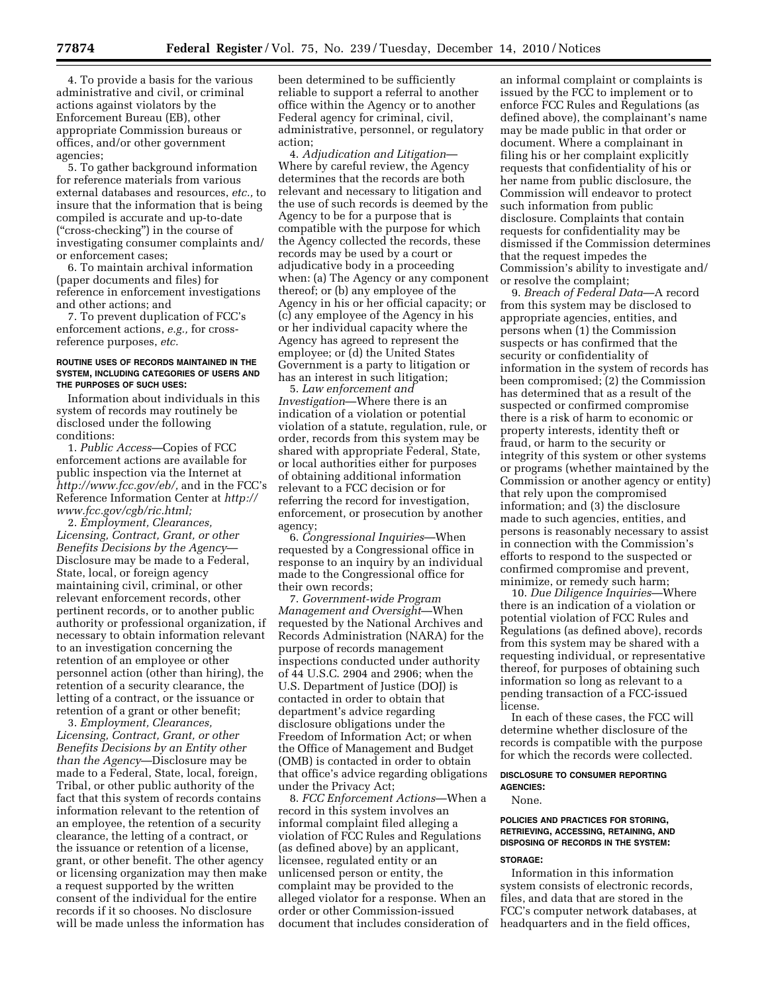4. To provide a basis for the various administrative and civil, or criminal actions against violators by the Enforcement Bureau (EB), other appropriate Commission bureaus or offices, and/or other government agencies;

5. To gather background information for reference materials from various external databases and resources, *etc.,* to insure that the information that is being compiled is accurate and up-to-date (''cross-checking'') in the course of investigating consumer complaints and/ or enforcement cases;

6. To maintain archival information (paper documents and files) for reference in enforcement investigations and other actions; and

7. To prevent duplication of FCC's enforcement actions, *e.g.,* for crossreference purposes, *etc.* 

### **ROUTINE USES OF RECORDS MAINTAINED IN THE SYSTEM, INCLUDING CATEGORIES OF USERS AND THE PURPOSES OF SUCH USES:**

Information about individuals in this system of records may routinely be disclosed under the following conditions:

1. *Public Access*—Copies of FCC enforcement actions are available for public inspection via the Internet at *http://www.fcc.gov/eb/,* and in the FCC's Reference Information Center at *http:// www.fcc.gov/cgb/ric.html;* 

2. *Employment, Clearances, Licensing, Contract, Grant, or other Benefits Decisions by the Agency*— Disclosure may be made to a Federal, State, local, or foreign agency maintaining civil, criminal, or other relevant enforcement records, other pertinent records, or to another public authority or professional organization, if necessary to obtain information relevant to an investigation concerning the retention of an employee or other personnel action (other than hiring), the retention of a security clearance, the letting of a contract, or the issuance or retention of a grant or other benefit;

3. *Employment, Clearances, Licensing, Contract, Grant, or other Benefits Decisions by an Entity other than the Agency*—Disclosure may be made to a Federal, State, local, foreign, Tribal, or other public authority of the fact that this system of records contains information relevant to the retention of an employee, the retention of a security clearance, the letting of a contract, or the issuance or retention of a license, grant, or other benefit. The other agency or licensing organization may then make a request supported by the written consent of the individual for the entire records if it so chooses. No disclosure will be made unless the information has

been determined to be sufficiently reliable to support a referral to another office within the Agency or to another Federal agency for criminal, civil, administrative, personnel, or regulatory action;

4. *Adjudication and Litigation*— Where by careful review, the Agency determines that the records are both relevant and necessary to litigation and the use of such records is deemed by the Agency to be for a purpose that is compatible with the purpose for which the Agency collected the records, these records may be used by a court or adjudicative body in a proceeding when: (a) The Agency or any component thereof; or (b) any employee of the Agency in his or her official capacity; or (c) any employee of the Agency in his or her individual capacity where the Agency has agreed to represent the employee; or (d) the United States Government is a party to litigation or has an interest in such litigation;

5. *Law enforcement and Investigation*—Where there is an indication of a violation or potential violation of a statute, regulation, rule, or order, records from this system may be shared with appropriate Federal, State, or local authorities either for purposes of obtaining additional information relevant to a FCC decision or for referring the record for investigation, enforcement, or prosecution by another agency;

6. *Congressional Inquiries*—When requested by a Congressional office in response to an inquiry by an individual made to the Congressional office for their own records;

7. *Government-wide Program Management and Oversight*—When requested by the National Archives and Records Administration (NARA) for the purpose of records management inspections conducted under authority of 44 U.S.C. 2904 and 2906; when the U.S. Department of Justice (DOJ) is contacted in order to obtain that department's advice regarding disclosure obligations under the Freedom of Information Act; or when the Office of Management and Budget (OMB) is contacted in order to obtain that office's advice regarding obligations under the Privacy Act;

8. *FCC Enforcement Actions*—When a record in this system involves an informal complaint filed alleging a violation of FCC Rules and Regulations (as defined above) by an applicant, licensee, regulated entity or an unlicensed person or entity, the complaint may be provided to the alleged violator for a response. When an order or other Commission-issued document that includes consideration of an informal complaint or complaints is issued by the FCC to implement or to enforce FCC Rules and Regulations (as defined above), the complainant's name may be made public in that order or document. Where a complainant in filing his or her complaint explicitly requests that confidentiality of his or her name from public disclosure, the Commission will endeavor to protect such information from public disclosure. Complaints that contain requests for confidentiality may be dismissed if the Commission determines that the request impedes the Commission's ability to investigate and/ or resolve the complaint;

9. *Breach of Federal Data*—A record from this system may be disclosed to appropriate agencies, entities, and persons when (1) the Commission suspects or has confirmed that the security or confidentiality of information in the system of records has been compromised; (2) the Commission has determined that as a result of the suspected or confirmed compromise there is a risk of harm to economic or property interests, identity theft or fraud, or harm to the security or integrity of this system or other systems or programs (whether maintained by the Commission or another agency or entity) that rely upon the compromised information; and (3) the disclosure made to such agencies, entities, and persons is reasonably necessary to assist in connection with the Commission's efforts to respond to the suspected or confirmed compromise and prevent, minimize, or remedy such harm;

10. *Due Diligence Inquiries*—Where there is an indication of a violation or potential violation of FCC Rules and Regulations (as defined above), records from this system may be shared with a requesting individual, or representative thereof, for purposes of obtaining such information so long as relevant to a pending transaction of a FCC-issued license.

In each of these cases, the FCC will determine whether disclosure of the records is compatible with the purpose for which the records were collected.

### **DISCLOSURE TO CONSUMER REPORTING AGENCIES:**

#### None.

## **POLICIES AND PRACTICES FOR STORING, RETRIEVING, ACCESSING, RETAINING, AND DISPOSING OF RECORDS IN THE SYSTEM:**

### **STORAGE:**

Information in this information system consists of electronic records, files, and data that are stored in the FCC's computer network databases, at headquarters and in the field offices,